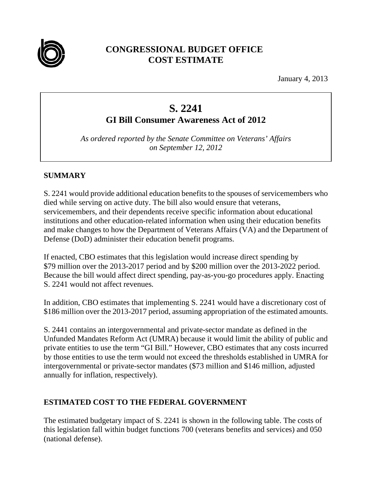

## **CONGRESSIONAL BUDGET OFFICE COST ESTIMATE**

January 4, 2013

# **S. 2241**

**GI Bill Consumer Awareness Act of 2012** 

*As ordered reported by the Senate Committee on Veterans' Affairs on September 12, 2012* 

#### **SUMMARY**

S. 2241 would provide additional education benefits to the spouses of servicemembers who died while serving on active duty. The bill also would ensure that veterans, servicemembers, and their dependents receive specific information about educational institutions and other education-related information when using their education benefits and make changes to how the Department of Veterans Affairs (VA) and the Department of Defense (DoD) administer their education benefit programs.

If enacted, CBO estimates that this legislation would increase direct spending by \$79 million over the 2013-2017 period and by \$200 million over the 2013-2022 period. Because the bill would affect direct spending, pay-as-you-go procedures apply. Enacting S. 2241 would not affect revenues.

In addition, CBO estimates that implementing S. 2241 would have a discretionary cost of \$186 million over the 2013-2017 period, assuming appropriation of the estimated amounts.

S. 2441 contains an intergovernmental and private-sector mandate as defined in the Unfunded Mandates Reform Act (UMRA) because it would limit the ability of public and private entities to use the term "GI Bill." However, CBO estimates that any costs incurred by those entities to use the term would not exceed the thresholds established in UMRA for intergovernmental or private-sector mandates (\$73 million and \$146 million, adjusted annually for inflation, respectively).

### **ESTIMATED COST TO THE FEDERAL GOVERNMENT**

The estimated budgetary impact of S. 2241 is shown in the following table. The costs of this legislation fall within budget functions 700 (veterans benefits and services) and 050 (national defense).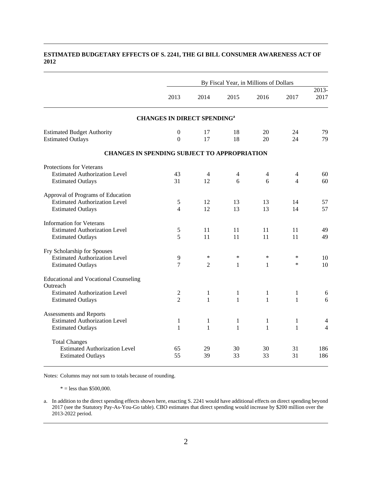### By Fiscal Year, in Millions of Dollars 2013 2014 2015 2016 2017 2013- 2017 **CHANGES IN DIRECT SPENDINGa** Estimated Budget Authority **0** 17 18 20 24 79 Estimated Outlays 0 17 18 20 24 79 **CHANGES IN SPENDING SUBJECT TO APPROPRIATION**  Protections for Veterans Estimated Authorization Level  $43 \t 44 \t 44 \t 60$ Estimated Outlays 31 12 6 6 4 60 Approval of Programs of Education Estimated Authorization Level 5 12 13 13 14 57 Estimated Outlays **12** 13 13 14 57 Information for Veterans Estimated Authorization Level 5 11 11 11 11 49 Estimated Outlays 5 11 11 11 11 49 Fry Scholarship for Spouses Estimated Authorization Level 9 \* \* \* \* \* 10 Estimated Outlays  $\begin{array}{ccccccccc}\n7 & 2 & 1 & 1 & * & 10\n\end{array}$ Educational and Vocational Counseling **Outreach** Estimated Authorization Level 2 1 1 1 1 6 Estimated Outlays 2 1 1 1 1 1 6 Assessments and Reports Estimated Authorization Level  $1 \t 1 \t 1 \t 1 \t 1$ Estimated Outlays 1 1 1 1 1 1 4 Total Changes Estimated Authorization Level 65 29 30 30 31 186

#### **ESTIMATED BUDGETARY EFFECTS OF S. 2241, THE GI BILL CONSUMER AWARENESS ACT OF 2012**

Notes: Columns may not sum to totals because of rounding.

 $* =$  less than \$500,000.

a. In addition to the direct spending effects shown here, enacting S. 2241 would have additional effects on direct spending beyond 2017 (see the Statutory Pay-As-You-Go table). CBO estimates that direct spending would increase by \$200 million over the 2013-2022 period.

Estimated Outlays 55 39 33 33 31 186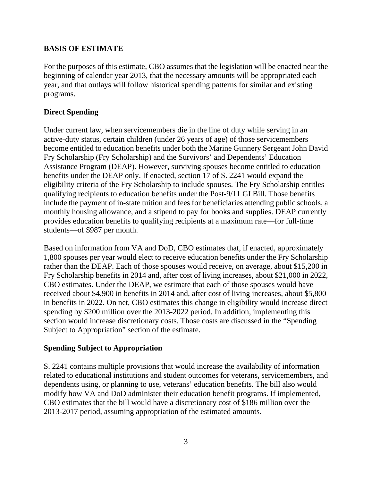#### **BASIS OF ESTIMATE**

For the purposes of this estimate, CBO assumes that the legislation will be enacted near the beginning of calendar year 2013, that the necessary amounts will be appropriated each year, and that outlays will follow historical spending patterns for similar and existing programs.

#### **Direct Spending**

Under current law, when servicemembers die in the line of duty while serving in an active-duty status, certain children (under 26 years of age) of those servicemembers become entitled to education benefits under both the Marine Gunnery Sergeant John David Fry Scholarship (Fry Scholarship) and the Survivors' and Dependents' Education Assistance Program (DEAP). However, surviving spouses become entitled to education benefits under the DEAP only. If enacted, section 17 of S. 2241 would expand the eligibility criteria of the Fry Scholarship to include spouses. The Fry Scholarship entitles qualifying recipients to education benefits under the Post-9/11 GI Bill. Those benefits include the payment of in-state tuition and fees for beneficiaries attending public schools, a monthly housing allowance, and a stipend to pay for books and supplies. DEAP currently provides education benefits to qualifying recipients at a maximum rate—for full-time students—of \$987 per month.

Based on information from VA and DoD, CBO estimates that, if enacted, approximately 1,800 spouses per year would elect to receive education benefits under the Fry Scholarship rather than the DEAP. Each of those spouses would receive, on average, about \$15,200 in Fry Scholarship benefits in 2014 and, after cost of living increases, about \$21,000 in 2022, CBO estimates. Under the DEAP, we estimate that each of those spouses would have received about \$4,900 in benefits in 2014 and, after cost of living increases, about \$5,800 in benefits in 2022. On net, CBO estimates this change in eligibility would increase direct spending by \$200 million over the 2013-2022 period. In addition, implementing this section would increase discretionary costs. Those costs are discussed in the "Spending Subject to Appropriation" section of the estimate.

#### **Spending Subject to Appropriation**

S. 2241 contains multiple provisions that would increase the availability of information related to educational institutions and student outcomes for veterans, servicemembers, and dependents using, or planning to use, veterans' education benefits. The bill also would modify how VA and DoD administer their education benefit programs. If implemented, CBO estimates that the bill would have a discretionary cost of \$186 million over the 2013-2017 period, assuming appropriation of the estimated amounts.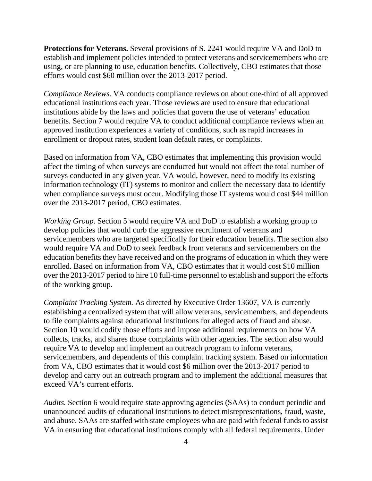**Protections for Veterans.** Several provisions of S. 2241 would require VA and DoD to establish and implement policies intended to protect veterans and servicemembers who are using, or are planning to use, education benefits. Collectively, CBO estimates that those efforts would cost \$60 million over the 2013-2017 period.

*Compliance Reviews.* VA conducts compliance reviews on about one-third of all approved educational institutions each year. Those reviews are used to ensure that educational institutions abide by the laws and policies that govern the use of veterans' education benefits. Section 7 would require VA to conduct additional compliance reviews when an approved institution experiences a variety of conditions, such as rapid increases in enrollment or dropout rates, student loan default rates, or complaints.

Based on information from VA, CBO estimates that implementing this provision would affect the timing of when surveys are conducted but would not affect the total number of surveys conducted in any given year. VA would, however, need to modify its existing information technology (IT) systems to monitor and collect the necessary data to identify when compliance surveys must occur. Modifying those IT systems would cost \$44 million over the 2013-2017 period, CBO estimates.

*Working Group.* Section 5 would require VA and DoD to establish a working group to develop policies that would curb the aggressive recruitment of veterans and servicemembers who are targeted specifically for their education benefits. The section also would require VA and DoD to seek feedback from veterans and servicemembers on the education benefits they have received and on the programs of education in which they were enrolled. Based on information from VA, CBO estimates that it would cost \$10 million over the 2013-2017 period to hire 10 full-time personnel to establish and support the efforts of the working group.

*Complaint Tracking System.* As directed by Executive Order 13607, VA is currently establishing a centralized system that will allow veterans, servicemembers, and dependents to file complaints against educational institutions for alleged acts of fraud and abuse. Section 10 would codify those efforts and impose additional requirements on how VA collects, tracks, and shares those complaints with other agencies. The section also would require VA to develop and implement an outreach program to inform veterans, servicemembers, and dependents of this complaint tracking system. Based on information from VA, CBO estimates that it would cost \$6 million over the 2013-2017 period to develop and carry out an outreach program and to implement the additional measures that exceed VA's current efforts.

*Audits.* Section 6 would require state approving agencies (SAAs) to conduct periodic and unannounced audits of educational institutions to detect misrepresentations, fraud, waste, and abuse. SAAs are staffed with state employees who are paid with federal funds to assist VA in ensuring that educational institutions comply with all federal requirements. Under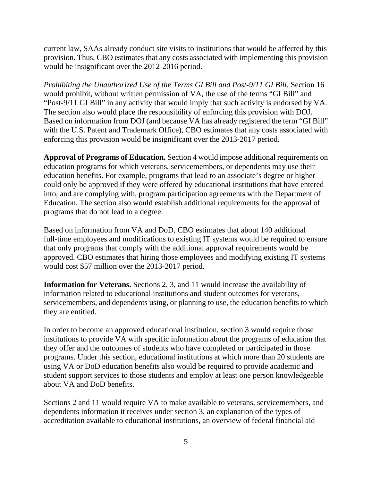current law, SAAs already conduct site visits to institutions that would be affected by this provision. Thus, CBO estimates that any costs associated with implementing this provision would be insignificant over the 2012-2016 period.

*Prohibiting the Unauthorized Use of the Terms GI Bill and Post-9/11 GI Bill.* Section 16 would prohibit, without written permission of VA, the use of the terms "GI Bill" and "Post-9/11 GI Bill" in any activity that would imply that such activity is endorsed by VA. The section also would place the responsibility of enforcing this provision with DOJ. Based on information from DOJ (and because VA has already registered the term "GI Bill" with the U.S. Patent and Trademark Office), CBO estimates that any costs associated with enforcing this provision would be insignificant over the 2013-2017 period.

**Approval of Programs of Education.** Section 4 would impose additional requirements on education programs for which veterans, servicemembers, or dependents may use their education benefits. For example, programs that lead to an associate's degree or higher could only be approved if they were offered by educational institutions that have entered into, and are complying with, program participation agreements with the Department of Education. The section also would establish additional requirements for the approval of programs that do not lead to a degree.

Based on information from VA and DoD, CBO estimates that about 140 additional full-time employees and modifications to existing IT systems would be required to ensure that only programs that comply with the additional approval requirements would be approved. CBO estimates that hiring those employees and modifying existing IT systems would cost \$57 million over the 2013-2017 period.

**Information for Veterans.** Sections 2, 3, and 11 would increase the availability of information related to educational institutions and student outcomes for veterans, servicemembers, and dependents using, or planning to use, the education benefits to which they are entitled.

In order to become an approved educational institution, section 3 would require those institutions to provide VA with specific information about the programs of education that they offer and the outcomes of students who have completed or participated in those programs. Under this section, educational institutions at which more than 20 students are using VA or DoD education benefits also would be required to provide academic and student support services to those students and employ at least one person knowledgeable about VA and DoD benefits.

Sections 2 and 11 would require VA to make available to veterans, servicemembers, and dependents information it receives under section 3, an explanation of the types of accreditation available to educational institutions, an overview of federal financial aid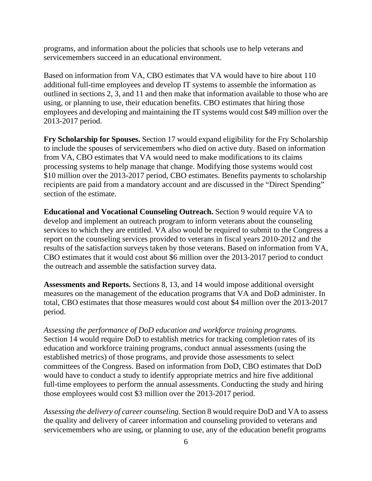programs, and information about the policies that schools use to help veterans and servicemembers succeed in an educational environment.

Based on information from VA, CBO estimates that VA would have to hire about 110 additional full-time employees and develop IT systems to assemble the information as outlined in sections 2, 3, and 11 and then make that information available to those who are using, or planning to use, their education benefits. CBO estimates that hiring those employees and developing and maintaining the IT systems would cost \$49 million over the 2013-2017 period.

**Fry Scholarship for Spouses.** Section 17 would expand eligibility for the Fry Scholarship to include the spouses of servicemembers who died on active duty. Based on information from VA, CBO estimates that VA would need to make modifications to its claims processing systems to help manage that change. Modifying those systems would cost \$10 million over the 2013-2017 period, CBO estimates. Benefits payments to scholarship recipients are paid from a mandatory account and are discussed in the "Direct Spending" section of the estimate.

**Educational and Vocational Counseling Outreach.** Section 9 would require VA to develop and implement an outreach program to inform veterans about the counseling services to which they are entitled. VA also would be required to submit to the Congress a report on the counseling services provided to veterans in fiscal years 2010-2012 and the results of the satisfaction surveys taken by those veterans. Based on information from VA, CBO estimates that it would cost about \$6 million over the 2013-2017 period to conduct the outreach and assemble the satisfaction survey data.

**Assessments and Reports.** Sections 8, 13, and 14 would impose additional oversight measures on the management of the education programs that VA and DoD administer. In total, CBO estimates that those measures would cost about \$4 million over the 2013-2017 period.

*Assessing the performance of DoD education and workforce training programs.* Section 14 would require DoD to establish metrics for tracking completion rates of its education and workforce training programs, conduct annual assessments (using the established metrics) of those programs, and provide those assessments to select committees of the Congress. Based on information from DoD, CBO estimates that DoD would have to conduct a study to identify appropriate metrics and hire five additional full-time employees to perform the annual assessments. Conducting the study and hiring those employees would cost \$3 million over the 2013-2017 period.

*Assessing the delivery of career counseling.* Section 8 would require DoD and VA to assess the quality and delivery of career information and counseling provided to veterans and servicemembers who are using, or planning to use, any of the education benefit programs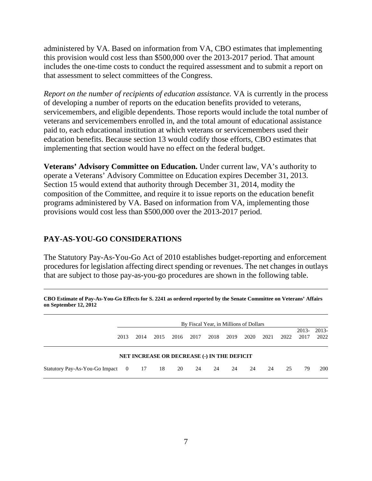administered by VA. Based on information from VA, CBO estimates that implementing this provision would cost less than \$500,000 over the 2013-2017 period. That amount includes the one-time costs to conduct the required assessment and to submit a report on that assessment to select committees of the Congress.

*Report on the number of recipients of education assistance.* VA is currently in the process of developing a number of reports on the education benefits provided to veterans, servicemembers, and eligible dependents. Those reports would include the total number of veterans and servicemembers enrolled in, and the total amount of educational assistance paid to, each educational institution at which veterans or servicemembers used their education benefits. Because section 13 would codify those efforts, CBO estimates that implementing that section would have no effect on the federal budget.

**Veterans' Advisory Committee on Education.** Under current law, VA's authority to operate a Veterans' Advisory Committee on Education expires December 31, 2013. Section 15 would extend that authority through December 31, 2014, modity the composition of the Committee, and require it to issue reports on the education benefit programs administered by VA. Based on information from VA, implementing those provisions would cost less than \$500,000 over the 2013-2017 period.

#### **PAY-AS-YOU-GO CONSIDERATIONS**

The Statutory Pay-As-You-Go Act of 2010 establishes budget-reporting and enforcement procedures for legislation affecting direct spending or revenues. The net changes in outlays that are subject to those pay-as-you-go procedures are shown in the following table.

|                                                    | By Fiscal Year, in Millions of Dollars |      |      |      |      |      |      |      |      |                 |                 |  |
|----------------------------------------------------|----------------------------------------|------|------|------|------|------|------|------|------|-----------------|-----------------|--|
| 2013                                               | 2014                                   | 2015 | 2016 | 2017 | 2018 | 2019 | 2020 | 2021 | 2022 | $2013-$<br>2017 | $2013-$<br>2022 |  |
| <b>NET INCREASE OR DECREASE (-) IN THE DEFICIT</b> |                                        |      |      |      |      |      |      |      |      |                 |                 |  |
| Statutory Pay-As-You-Go Impact 0 17                |                                        | 18   | 20   | 24   | -24  | -24  | 24   | 24   | 25   | 79              | 200             |  |

**CBO Estimate of Pay-As-You-Go Effects for S. 2241 as ordered reported by the Senate Committee on Veterans' Affairs on September 12, 2012**